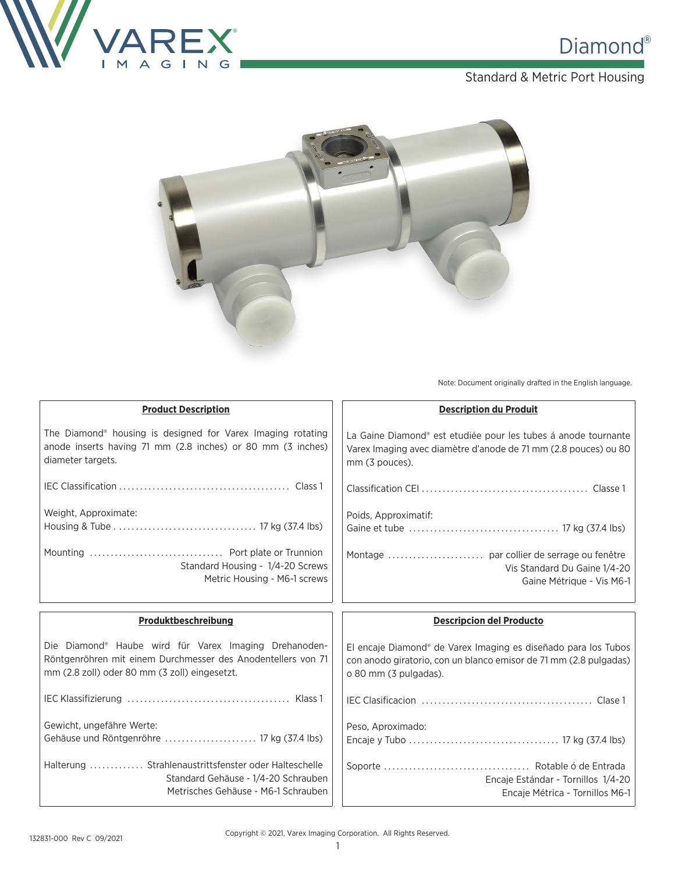

### Standard & Metric Port Housing



Note: Document originally drafted in the English language.

| <b>Product Description</b>                                                                                                                                             | <b>Description du Produit</b>                                                                                                                                            |
|------------------------------------------------------------------------------------------------------------------------------------------------------------------------|--------------------------------------------------------------------------------------------------------------------------------------------------------------------------|
| The Diamond <sup>®</sup> housing is designed for Varex Imaging rotating<br>anode inserts having 71 mm (2.8 inches) or 80 mm (3 inches)<br>diameter targets.            | La Gaine Diamond® est etudiée pour les tubes á anode tournante<br>Varex Imaging avec diamètre d'anode de 71 mm (2.8 pouces) ou 80<br>mm (3 pouces).                      |
|                                                                                                                                                                        |                                                                                                                                                                          |
| Weight, Approximate:                                                                                                                                                   | Poids, Approximatif:                                                                                                                                                     |
| Standard Housing - 1/4-20 Screws<br>Metric Housing - M6-1 screws                                                                                                       | Vis Standard Du Gaine 1/4-20<br>Gaine Métrique - Vis M6-1                                                                                                                |
|                                                                                                                                                                        |                                                                                                                                                                          |
|                                                                                                                                                                        |                                                                                                                                                                          |
| Produktbeschreibung                                                                                                                                                    | <b>Descripcion del Producto</b>                                                                                                                                          |
| Die Diamond® Haube wird für Varex Imaging Drehanoden-<br>Röntgenröhren mit einem Durchmesser des Anodentellers von 71<br>mm (2.8 zoll) oder 80 mm (3 zoll) eingesetzt. | El encaje Diamond <sup>®</sup> de Varex Imaging es diseñado para los Tubos<br>con anodo giratorio, con un blanco emisor de 71 mm (2.8 pulgadas)<br>o 80 mm (3 pulgadas). |
|                                                                                                                                                                        |                                                                                                                                                                          |
| Gewicht, ungefähre Werte:                                                                                                                                              |                                                                                                                                                                          |
| Gehäuse und Röntgenröhre  17 kg (37.4 lbs)                                                                                                                             | Peso, Aproximado:                                                                                                                                                        |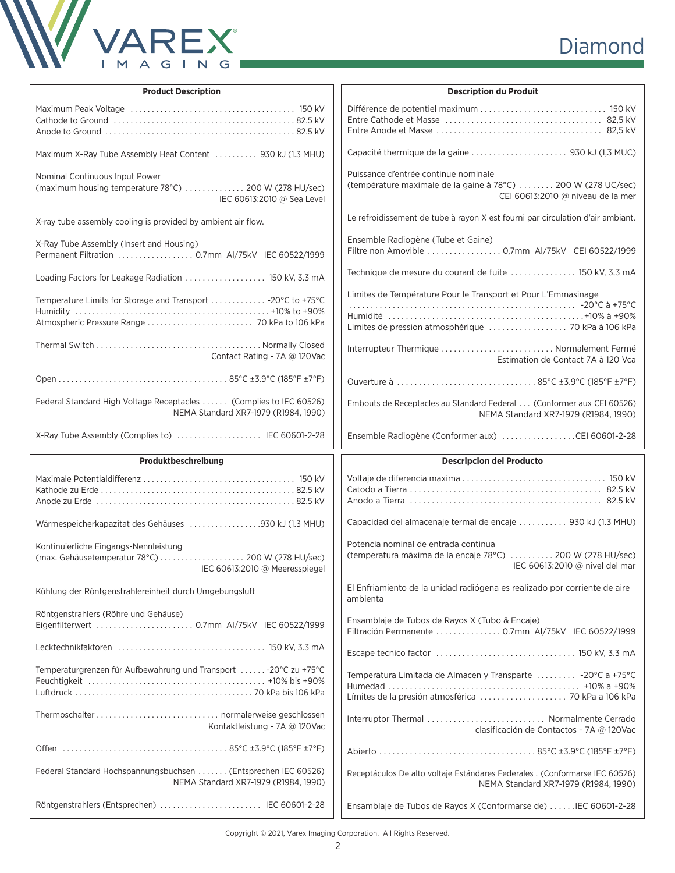

| <b>Product Description</b>                                                                                             | <b>Description du Produit</b>                                                                                                              |
|------------------------------------------------------------------------------------------------------------------------|--------------------------------------------------------------------------------------------------------------------------------------------|
|                                                                                                                        |                                                                                                                                            |
| Maximum X-Ray Tube Assembly Heat Content  930 kJ (1.3 MHU)                                                             |                                                                                                                                            |
| Nominal Continuous Input Power<br>(maximum housing temperature 78°C)  200 W (278 HU/sec)<br>IEC 60613:2010 @ Sea Level | Puissance d'entrée continue nominale<br>(température maximale de la gaine à 78°C)  200 W (278 UC/sec)<br>CEI 60613:2010 @ niveau de la mer |
| X-ray tube assembly cooling is provided by ambient air flow.                                                           | Le refroidissement de tube à rayon X est fourni par circulation d'air ambiant.                                                             |
| X-Ray Tube Assembly (Insert and Housing)<br>Permanent Filtration  0.7mm AI/75kV IEC 60522/1999                         | Ensemble Radiogène (Tube et Gaine)<br>Filtre non Amovible  0,7mm Al/75kV CEI 60522/1999                                                    |
| Loading Factors for Leakage Radiation  150 kV, 3.3 mA                                                                  | Technique de mesure du courant de fuite  150 kV, 3,3 mA                                                                                    |
| Temperature Limits for Storage and Transport  -20°C to +75°C<br>Atmospheric Pressure Range  70 kPa to 106 kPa          | Limites de Température Pour le Transport et Pour L'Emmasinage                                                                              |
| Contact Rating - 7A @ 120Vac                                                                                           | Estimation de Contact 7A à 120 Vca                                                                                                         |
|                                                                                                                        |                                                                                                                                            |
| Federal Standard High Voltage Receptacles  (Complies to IEC 60526)<br>NEMA Standard XR7-1979 (R1984, 1990)             | Embouts de Receptacles au Standard Federal  (Conformer aux CEI 60526)<br>NEMA Standard XR7-1979 (R1984, 1990)                              |
| X-Ray Tube Assembly (Complies to)  IEC 60601-2-28                                                                      | Ensemble Radiogène (Conformer aux) CEI 60601-2-28                                                                                          |
|                                                                                                                        |                                                                                                                                            |
| Produktbeschreibung                                                                                                    | <b>Descripcion del Producto</b>                                                                                                            |
|                                                                                                                        |                                                                                                                                            |
| Wärmespeicherkapazitat des Gehäuses 930 kJ (1.3 MHU)                                                                   | Capacidad del almacenaje termal de encaje  930 kJ (1.3 MHU)                                                                                |
| Kontinuierliche Eingangs-Nennleistung<br>IEC 60613:2010 @ Meeresspiegel                                                | Potencia nominal de entrada continua<br>(temperatura máxima de la encaje 78°C)  200 W (278 HU/sec)<br>IEC 60613:2010 @ nivel del mar       |
| Kühlung der Röntgenstrahlereinheit durch Umgebungsluft                                                                 | El Enfriamiento de la unidad radiógena es realizado por corriente de aire<br>ambienta                                                      |
| Röntgenstrahlers (Röhre und Gehäuse)<br>Eigenfilterwert  0.7mm AI/75kV IEC 60522/1999                                  | Ensamblaje de Tubos de Rayos X (Tubo & Encaje)<br>Filtración Permanente  0.7mm AI/75kV IEC 60522/1999                                      |
|                                                                                                                        |                                                                                                                                            |
| Temperaturgrenzen für Aufbewahrung und Transport -20°C zu +75°C                                                        | Temperatura Limitada de Almacen y Transparte  -20°C a +75°C<br>Límites de la presión atmosférica  70 kPa a 106 kPa                         |
| Kontaktleistung - 7A @ 120Vac                                                                                          | Interruptor Thermal  Normalmente Cerrado<br>clasificación de Contactos - 7A @ 120Vac                                                       |
|                                                                                                                        |                                                                                                                                            |
| Federal Standard Hochspannungsbuchsen  (Entsprechen IEC 60526)<br>NEMA Standard XR7-1979 (R1984, 1990)                 | Receptáculos De alto voltaje Estándares Federales . (Conformarse IEC 60526)<br>NEMA Standard XR7-1979 (R1984, 1990)                        |

Copyright © 2021, Varex Imaging Corporation. All Rights Reserved.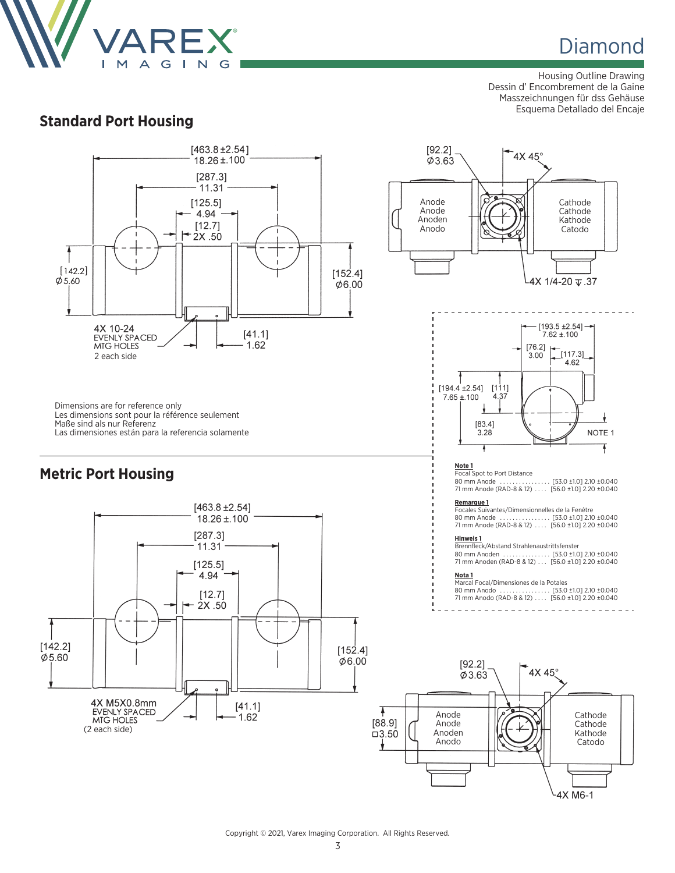

Housing Outline Drawing Dessin d' Encombrement de la Gaine Masszeichnungen für dss Gehäuse Esquema Detallado del Encaje



Copyright © 2021, Varex Imaging Corporation. All Rights Reserved.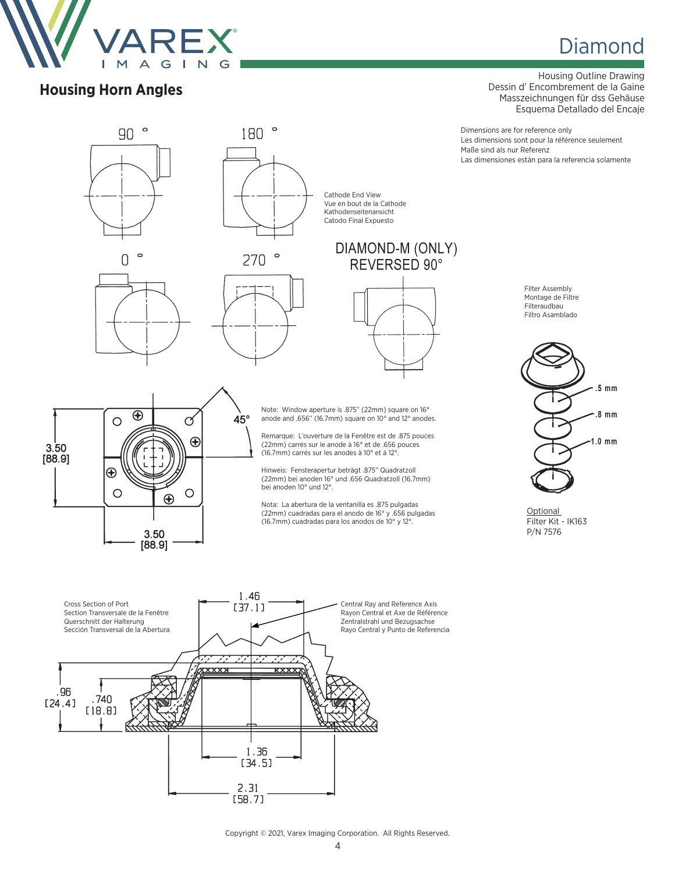

**Housing Horn Angles**

# **Diamond**

Housing Outline Drawing Dessin d' Encombrement de la Gaine Masszeichnungen für dss Gehäuse Esquema Detallado del Encaje

Dimensions are for reference only Les dimensions sont pour la référence seulement Maße sind als nur Referenz Las dimensiones están para la referencia solamente



Copyright © 2021, Varex Imaging Corporation. All Rights Reserved.

 $2.31$  $[58.7]$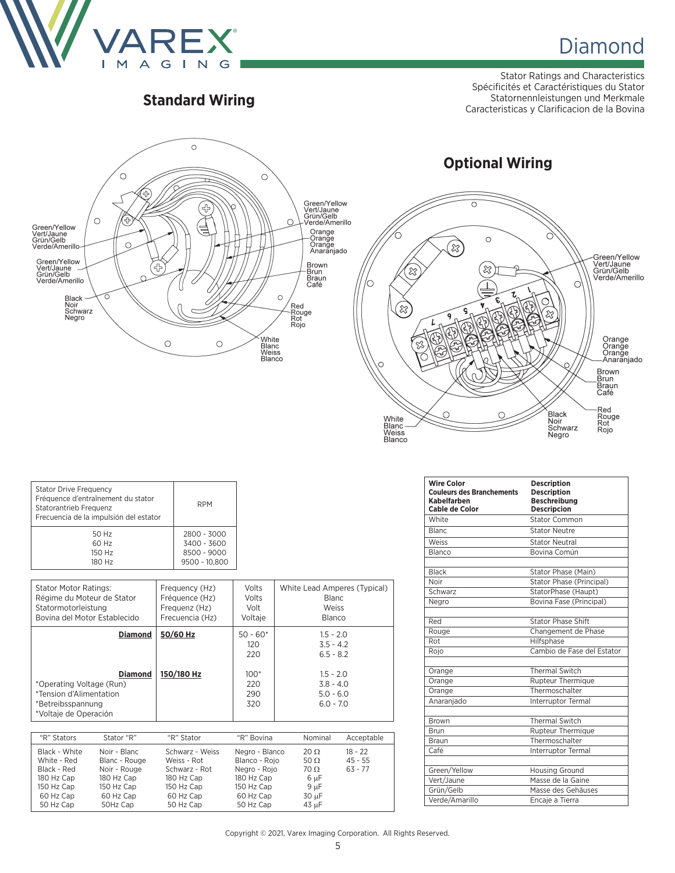

Stator Ratings and Characteristics Spécificités et Caractéristiques du Stator Statornennleistungen und Merkmale **Caracteristicas y Clarificacion de la Bovina Caracteristicas y Clarificacion de la Bovina Caracteristicas y Clarificacion de la Bovina Caracteristicas y Clarificacion de la Bovina** 



|                                          |                                        | $\circ$                         |                                   |                                                                                |
|------------------------------------------|----------------------------------------|---------------------------------|-----------------------------------|--------------------------------------------------------------------------------|
|                                          | $\approx$                              | $\circ$                         |                                   |                                                                                |
| গ্লি<br>◠                                |                                        | షి<br>1.<br>e.                  | - 1                               | Green/Yellow<br>Vert/Jaune<br>Grün/Gelb<br>Verde/Amerillo                      |
| $\approx$                                | ç<br>9<br>孬<br>窈<br>孬<br>H.<br>戸山<br>Ã | ۷<br>$\mathbb{Z}_P$<br>とき<br>32 | ל,<br>ና<br>ંજે                    | Orange                                                                         |
| O                                        |                                        |                                 |                                   | Orange<br>Orange<br>Anaranjado<br><b>Brown</b><br><b>Brun</b><br>Braun<br>Café |
| White<br>Blanc<br>Weiss<br><b>Blanco</b> |                                        |                                 | Black<br>Noir<br>Schwarz<br>Negro | Red<br>Rouge<br>Rot<br>Rojo                                                    |

**Optional Wiring**

| <b>Stator Drive Frequency</b><br>Fréquence d'entraînement du stator<br>Statorantrieb Frequenz<br>Frecuencia de la impulsión del estator | <b>RPM</b>    |  |
|-----------------------------------------------------------------------------------------------------------------------------------------|---------------|--|
| 50 Hz                                                                                                                                   | 2800 - 3000   |  |
| 60 Hz                                                                                                                                   | 3400 - 3600   |  |
| 150 Hz                                                                                                                                  | 8500 - 9000   |  |
| 180 Hz                                                                                                                                  | 9500 - 10.800 |  |

| <b>Stator Motor Ratings:</b>                                                                                                          | Frequency (Hz)         | Volts                                                   | White Lead Amperes (Typical)                                                                          |
|---------------------------------------------------------------------------------------------------------------------------------------|------------------------|---------------------------------------------------------|-------------------------------------------------------------------------------------------------------|
| Régime du Moteur de Stator                                                                                                            | Fréquence (Hz)         | Volts                                                   | Blanc                                                                                                 |
| Statormotorleistung                                                                                                                   | Frequenz (Hz)          | Volt                                                    | Weiss                                                                                                 |
| Bovina del Motor Establecido                                                                                                          | Frecuencia (Hz)        | Voltaie                                                 | <b>Blanco</b>                                                                                         |
| <b>Diamond</b><br><b>Diamond</b><br>*Operating Voltage (Run)<br>*Tension d'Alimentation<br>*Betreibsspannung<br>*Voltaje de Operación | 50/60 Hz<br>150/180 Hz | $50 - 60*$<br>120<br>220<br>$100*$<br>220<br>290<br>320 | $1.5 - 2.0$<br>$3.5 - 4.2$<br>$6.5 - 8.2$<br>$1.5 - 2.0$<br>$3.8 - 4.0$<br>$5.0 - 6.0$<br>$6.0 - 7.0$ |

| "R" Stators                                                                                       | Stator "R"                                                                                         | "R" Stator                                                                                            | "R" Bovina                                                                                            | Nominal                                                                          | Acceptable                          |
|---------------------------------------------------------------------------------------------------|----------------------------------------------------------------------------------------------------|-------------------------------------------------------------------------------------------------------|-------------------------------------------------------------------------------------------------------|----------------------------------------------------------------------------------|-------------------------------------|
| Black - White<br>White - Red<br>Black - Red<br>180 Hz Cap<br>150 Hz Cap<br>60 Hz Cap<br>50 Hz Cap | Noir - Blanc<br>Blanc - Rouge<br>Noir - Rouge<br>180 Hz Cap<br>150 Hz Cap<br>60 Hz Cap<br>50Hz Cap | Schwarz - Weiss<br>Weiss - Rot<br>Schwarz - Rot<br>180 Hz Cap<br>150 Hz Cap<br>60 Hz Cap<br>50 Hz Cap | Negro - Blanco<br>Blanco - Roio<br>Negro - Rojo<br>180 Hz Cap<br>150 Hz Cap<br>60 Hz Cap<br>50 Hz Cap | $20 \Omega$<br>50 $\Omega$<br>$70 \Omega$<br>6 µF<br>$9 \mu F$<br>30 µF<br>43 µF | $18 - 22$<br>$45 - 55$<br>$63 - 77$ |

| <b>Wire Color</b><br><b>Couleurs des Branchements</b><br>Kabelfarben<br>Cable de Color | <b>Description</b><br><b>Description</b><br><b>Beschreibung</b><br><b>Descripcion</b> |
|----------------------------------------------------------------------------------------|---------------------------------------------------------------------------------------|
| White                                                                                  | <b>Stator Common</b>                                                                  |
| <b>Blanc</b>                                                                           | <b>Stator Neutre</b>                                                                  |
| Weiss                                                                                  | <b>Stator Neutral</b>                                                                 |
| Blanco                                                                                 | Bovina Común                                                                          |
| <b>Black</b>                                                                           | Stator Phase (Main)                                                                   |
| Noir                                                                                   | Stator Phase (Principal)                                                              |
| Schwarz                                                                                | StatorPhase (Haupt)                                                                   |
| Negro                                                                                  | Bovina Fase (Principal)                                                               |
| Red                                                                                    | <b>Stator Phase Shift</b>                                                             |
| Rouge                                                                                  | Changement de Phase                                                                   |
| Rot                                                                                    | Hilfsphase                                                                            |
| Rojo                                                                                   | Cambio de Fase del Estator                                                            |
| Orange                                                                                 | <b>Thermal Switch</b>                                                                 |
| Orange                                                                                 | Rupteur Thermique                                                                     |
| Orange                                                                                 | Thermoschalter                                                                        |
| Anaranjado                                                                             | Interruptor Termal                                                                    |
| Brown                                                                                  | <b>Thermal Switch</b>                                                                 |
| Brun                                                                                   | Rupteur Thermique                                                                     |
| Braun                                                                                  | Thermoschalter                                                                        |
| Café                                                                                   | Interruptor Termal                                                                    |
| Green/Yellow                                                                           | <b>Housing Ground</b>                                                                 |
| Vert/Jaune                                                                             | Masse de la Gaine                                                                     |
| Grün/Gelb                                                                              | Masse des Gehäuses                                                                    |
| Verde/Amarillo                                                                         | Encaje a Tierra                                                                       |

#### Copyright © 2021, Varex Imaging Corporation. All Rights Reserved.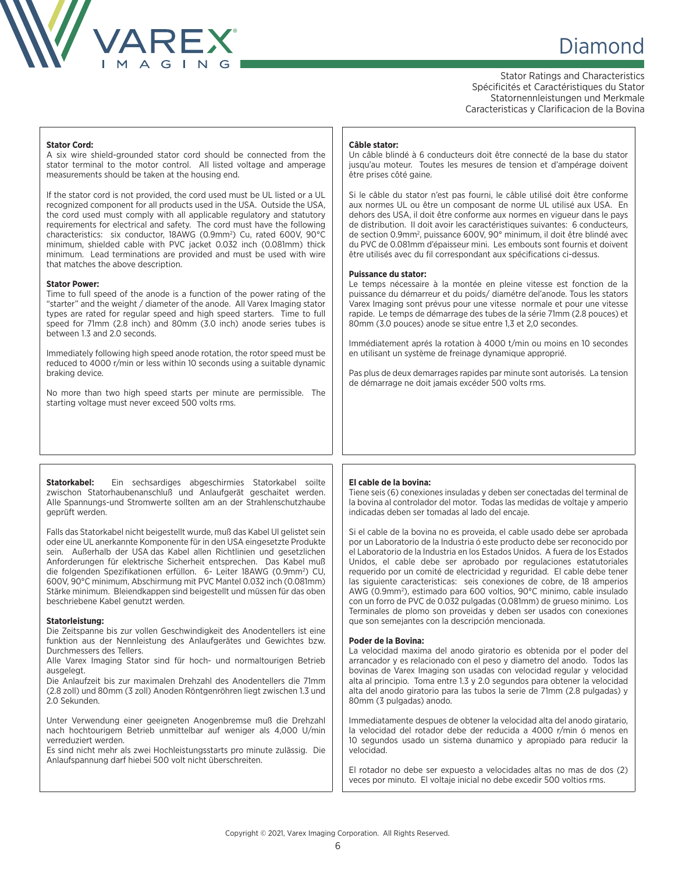

# **Diamond Diamond**

Stator Ratings and Characteristics Spécificités et Caractéristiques du Stator Statornennleistungen und Merkmale Caracteristicas y Clarificacion de la Bovina

#### **Stator Cord:**

A six wire shield-grounded stator cord should be connected from the stator terminal to the motor control. All listed voltage and amperage measurements should be taken at the housing end.

If the stator cord is not provided, the cord used must be UL listed or a UL recognized component for all products used in the USA. Outside the USA, the cord used must comply with all applicable regulatory and statutory requirements for electrical and safety. The cord must have the following characteristics: six conductor, 18AWG (0.9mm<sup>2</sup>) Cu, rated 600V, 90°C minimum, shielded cable with PVC jacket 0.032 inch (0.081mm) thick minimum. Lead terminations are provided and must be used with wire that matches the above description.

#### **Stator Power:**

Time to full speed of the anode is a function of the power rating of the "starter" and the weight / diameter of the anode. All Varex Imaging stator types are rated for regular speed and high speed starters. Time to full speed for 71mm (2.8 inch) and 80mm (3.0 inch) anode series tubes is between 1.3 and 2.0 seconds.

Immediately following high speed anode rotation, the rotor speed must be reduced to 4000 r/min or less within 10 seconds using a suitable dynamic braking device.

No more than two high speed starts per minute are permissible. The starting voltage must never exceed 500 volts rms.

**Statorkabel:** Ein sechsardiges abgeschirmies Statorkabel soilte zwischon Statorhaubenanschluß und Anlaufgerät geschaitet werden. Alle Spannungs-und Stromwerte sollten am an der Strahlenschutzhaube geprüft werden.

Falls das Statorkabel nicht beigestellt wurde, muß das Kabel Ul gelistet sein oder eine UL anerkannte Komponente für in den USA eingesetzte Produkte sein. Außerhalb der USA das Kabel allen Richtlinien und gesetzlichen Anforderungen für elektrische Sicherheit entsprechen. Das Kabel muß die folgenden Spezifikationen erfüllon. 6- Leiter 18AWG (0.9mm2 ) CU, 600V, 90°C minimum, Abschirmung mit PVC Mantel 0.032 inch (0.081mm) Stärke minimum. Bleiendkappen sind beigestellt und müssen für das oben beschriebene Kabel genutzt werden.

#### **Statorleistung:**

Die Zeitspanne bis zur vollen Geschwindigkeit des Anodentellers ist eine funktion aus der Nennleistung des Anlaufgerätes und Gewichtes bzw. Durchmessers des Tellers.

Alle Varex Imaging Stator sind für hoch- und normaltourigen Betrieb ausgelegt.

Die Anlaufzeit bis zur maximalen Drehzahl des Anodentellers die 71mm (2.8 zoll) und 80mm (3 zoll) Anoden Röntgenröhren liegt zwischen 1.3 und 2.0 Sekunden.

Unter Verwendung einer geeigneten Anogenbremse muß die Drehzahl nach hochtourigem Betrieb unmittelbar auf weniger als 4,000 U/min verreduziert werden.

Es sind nicht mehr als zwei Hochleistungsstarts pro minute zulässig. Die Anlaufspannung darf hiebei 500 volt nicht überschreiten.

#### **Câble stator:**

Un câble blindé à 6 conducteurs doit être connecté de la base du stator jusqu'au moteur. Toutes les mesures de tension et d'ampérage doivent être prises côté gaine.

Si le câble du stator n'est pas fourni, le câble utilisé doit être conforme aux normes UL ou être un composant de norme UL utilisé aux USA. En dehors des USA, il doit être conforme aux normes en vigueur dans le pays de distribution. II doit avoir les caractéristiques suivantes: 6 conducteurs, de section 0.9mm<sup>2</sup>, puissance 600V, 90° minimum, il doit être blindé avec du PVC de 0.081mm d'épaisseur mini. Les embouts sont fournis et doivent être utilisés avec du fil correspondant aux spécifications ci-dessus.

#### **Puissance du stator:**

Le temps nécessaire à la montée en pleine vitesse est fonction de la puissance du démarreur et du poids/ diamétre del'anode. Tous les stators Varex Imaging sont prévus pour une vitesse normale et pour une vitesse rapide. Le temps de démarrage des tubes de la série 71mm (2.8 pouces) et 80mm (3.0 pouces) anode se situe entre 1,3 et 2,0 secondes.

Immédiatement aprés la rotation à 4000 t/min ou moins en 10 secondes en utilisant un système de freinage dynamique approprié.

Pas plus de deux demarrages rapides par minute sont autorisés. La tension de démarrage ne doit jamais excéder 500 volts rms.

### **El cable de la bovina:**

Tiene seis (6) conexiones insuladas y deben ser conectadas del terminal de la bovina al controlador del motor. Todas las medidas de voltaje y amperio indicadas deben ser tomadas al lado del encaje.

Si el cable de la bovina no es proveida, el cable usado debe ser aprobada por un Laboratorio de la Industria ó este producto debe ser reconocido por el Laboratorio de la Industria en los Estados Unidos. A fuera de los Estados Unidos, el cable debe ser aprobado por regulaciones estatutoriales requerido por un comité de electricidad y reguridad. El cable debe tener las siguiente caracteristicas: seis conexiones de cobre, de 18 amperios AWG (0.9mm2 ), estimado para 600 voltios, 90°C minimo, cable insulado con un forro de PVC de 0.032 pulgadas (0.081mm) de grueso minimo. Los Terminales de plomo son proveidas y deben ser usados con conexiones que son semejantes con la descripción mencionada.

#### **Poder de la Bovina:**

La velocidad maxima del anodo giratorio es obtenida por el poder del arrancador y es relacionado con el peso y diametro del anodo. Todos las bovinas de Varex Imaging son usadas con velocidad regular y velocidad alta al principio. Toma entre 1.3 y 2.0 segundos para obtener la velocidad alta del anodo giratorio para las tubos la serie de 71mm (2.8 pulgadas) y 80mm (3 pulgadas) anodo.

Immediatamente despues de obtener la velocidad alta del anodo giratario, la velocidad del rotador debe der reducida a 4000 r/min ó menos en 10 segundos usado un sistema dunamico y apropiado para reducir la velocidad.

El rotador no debe ser expuesto a velocidades altas no mas de dos (2) veces por minuto. El voltaje inicial no debe excedir 500 voltios rms.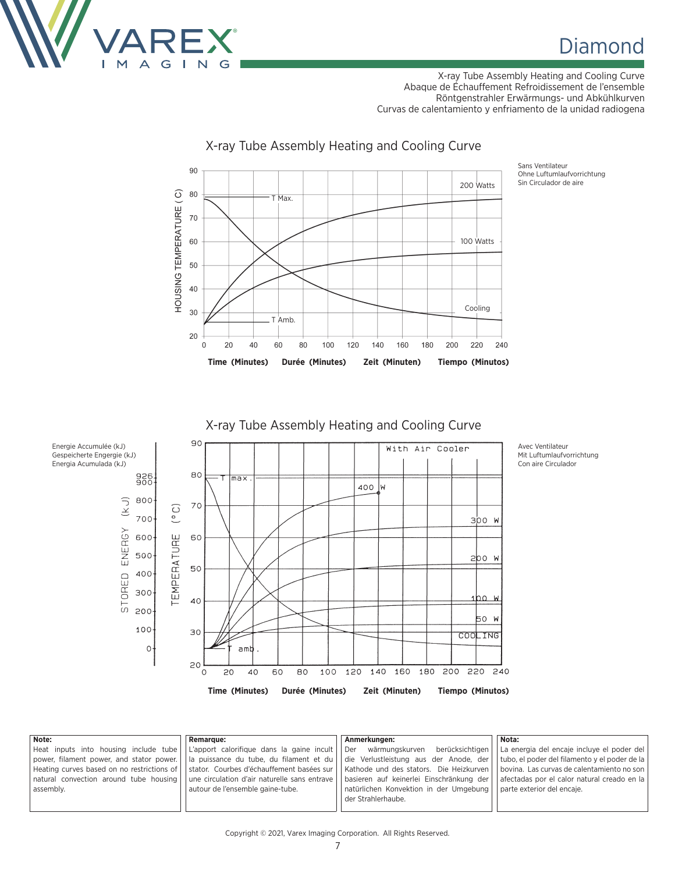

X-ray Tube Assembly Heating and Cooling Curve Abaque de Échauffement Refroidissement de l'ensemble Röntgenstrahler Erwärmungs- und Abkühlkurven Curvas de calentamiento y enfriamento de la unidad radiogena



### X-ray Tube Assembly Heating and Cooling Curve

Ohne Luftumlaufvorrichtung Sin Circulador de aire

### X-ray Tube Assembly Heating and Cooling Curve



**Note:** Heat inputs into housing include tube power, filament power, and stator power. Heating curves based on no restrictions of natural convection around tube housing assembly. **Remarque:** L'apport calorifique dans la gaine incult la puissance du tube, du filament et du stator. Courbes d'échauffement basées sur une circulation d'air naturelle sans entrave autour de l'ensemble gaine-tube. **Anmerkungen:** Der wärmungskurven berücksichtigen die Verlustleistung aus der Anode, der Kathode und des stators. Die Heizkurven basieren auf keinerlei Einschränkung der natürlichen Konvektion in der Umgebung der Strahlerhaube. **Nota:** La energia del encaje incluye el poder del tubo, el poder del filamento y el poder de la bovina. Las curvas de calentamiento no son afectadas por el calor natural creado en la parte exterior del encaje.